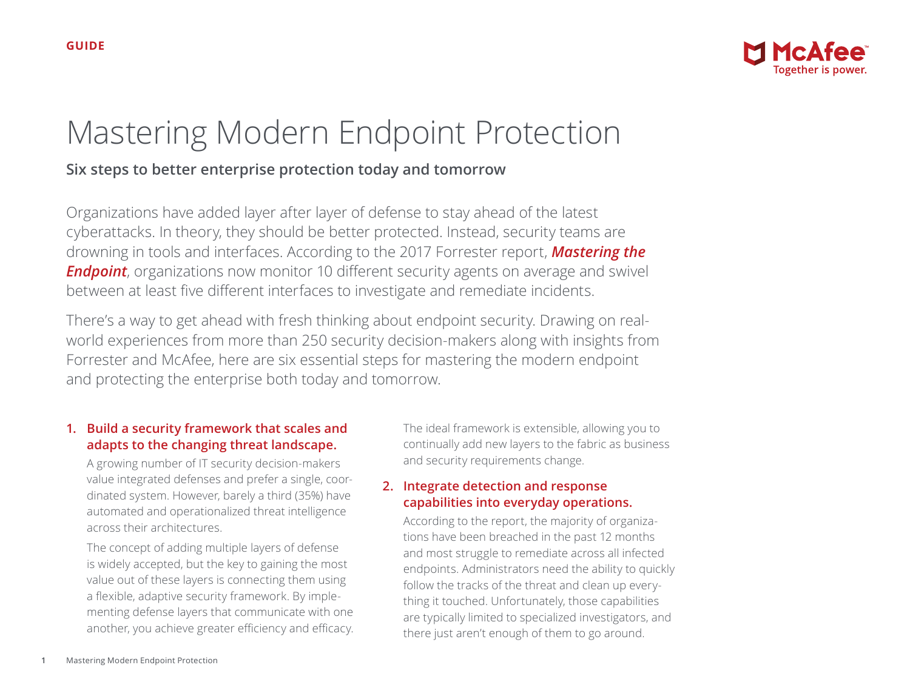

# Mastering Modern Endpoint Protection

## **Six steps to better enterprise protection today and tomorrow**

Organizations have added layer after layer of defense to stay ahead of the latest cyberattacks. In theory, they should be better protected. Instead, security teams are drowning in tools and interfaces. According to the 2017 Forrester report, *[Mastering the](https://prod.demand.intelsecurity.com/verify?docID=97052759071b9903675738d895497e98)*  **[Endpoint](https://prod.demand.intelsecurity.com/verify?docID=97052759071b9903675738d895497e98)**, organizations now monitor 10 different security agents on average and swivel between at least five different interfaces to investigate and remediate incidents.

There's a way to get ahead with fresh thinking about endpoint security. Drawing on realworld experiences from more than 250 security decision-makers along with insights from Forrester and McAfee, here are six essential steps for mastering the modern endpoint and protecting the enterprise both today and tomorrow.

### **1. Build a security framework that scales and adapts to the changing threat landscape.**

A growing number of IT security decision-makers value integrated defenses and prefer a single, coordinated system. However, barely a third (35%) have automated and operationalized threat intelligence across their architectures.

The concept of adding multiple layers of defense is widely accepted, but the key to gaining the most value out of these layers is connecting them using a flexible, adaptive security framework. By implementing defense layers that communicate with one another, you achieve greater efficiency and efficacy.

The ideal framework is extensible, allowing you to continually add new layers to the fabric as business and security requirements change.

### **2. Integrate detection and response capabilities into everyday operations.**

According to the report, the majority of organizations have been breached in the past 12 months and most struggle to remediate across all infected endpoints. Administrators need the ability to quickly follow the tracks of the threat and clean up everything it touched. Unfortunately, those capabilities are typically limited to specialized investigators, and there just aren't enough of them to go around.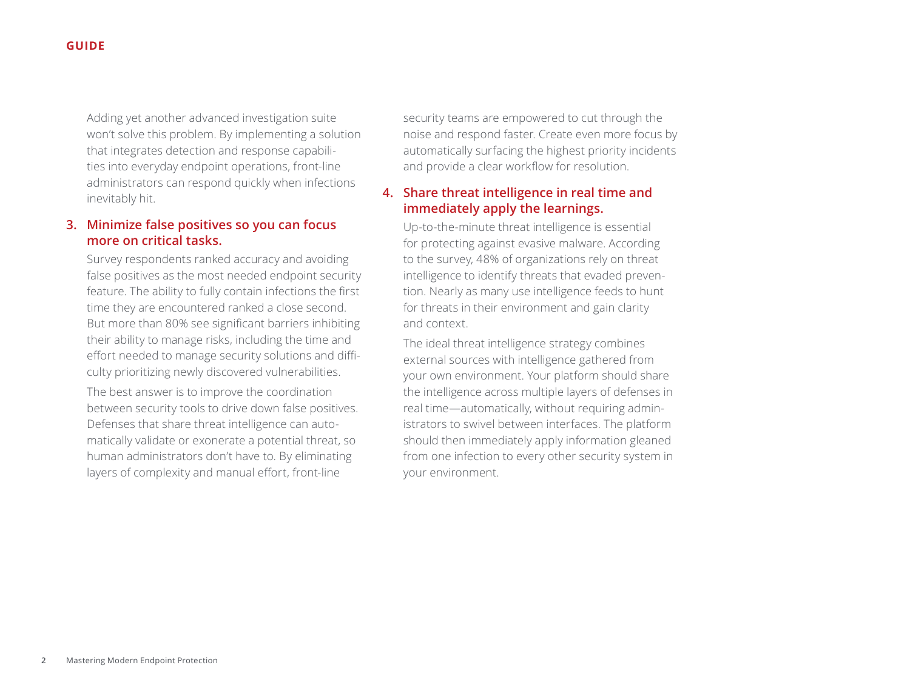Adding yet another advanced investigation suite won't solve this problem. By implementing a solution that integrates detection and response capabilities into everyday endpoint operations, front-line administrators can respond quickly when infections inevitably hit.

#### **3. Minimize false positives so you can focus more on critical tasks.**

Survey respondents ranked accuracy and avoiding false positives as the most needed endpoint security feature. The ability to fully contain infections the first time they are encountered ranked a close second. But more than 80% see significant barriers inhibiting their ability to manage risks, including the time and effort needed to manage security solutions and difficulty prioritizing newly discovered vulnerabilities.

The best answer is to improve the coordination between security tools to drive down false positives. Defenses that share threat intelligence can automatically validate or exonerate a potential threat, so human administrators don't have to. By eliminating layers of complexity and manual effort, front-line

security teams are empowered to cut through the noise and respond faster. Create even more focus by automatically surfacing the highest priority incidents and provide a clear workflow for resolution.

#### **4. Share threat intelligence in real time and immediately apply the learnings.**

Up-to-the-minute threat intelligence is essential for protecting against evasive malware. According to the survey, 48% of organizations rely on threat intelligence to identify threats that evaded prevention. Nearly as many use intelligence feeds to hunt for threats in their environment and gain clarity and context.

The ideal threat intelligence strategy combines external sources with intelligence gathered from your own environment. Your platform should share the intelligence across multiple layers of defenses in real time—automatically, without requiring administrators to swivel between interfaces. The platform should then immediately apply information gleaned from one infection to every other security system in your environment.